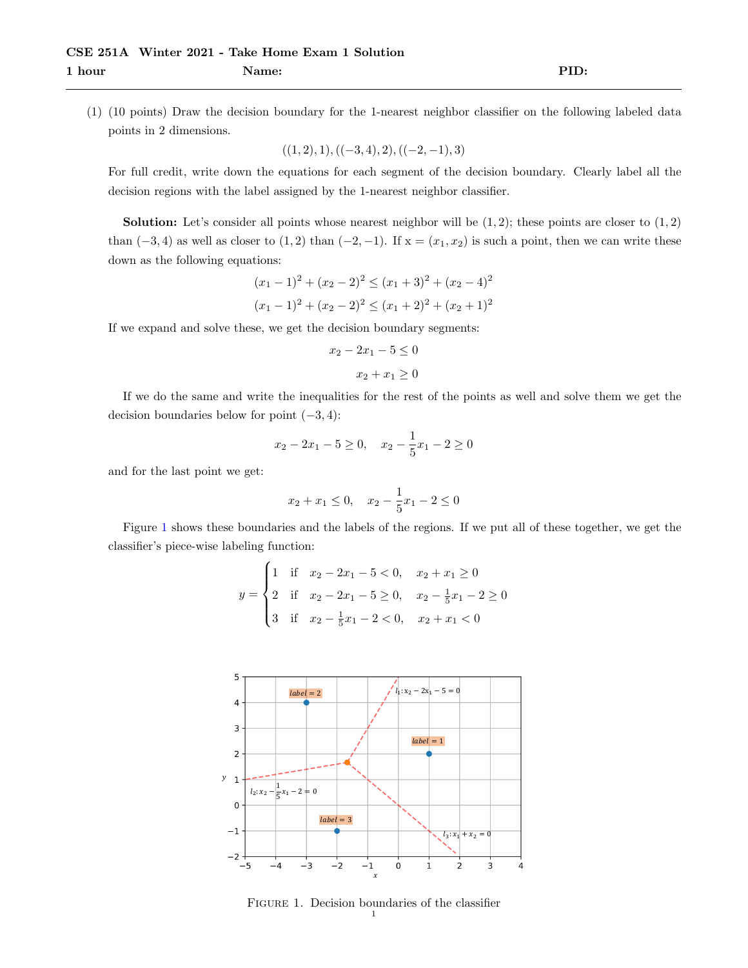(1) (10 points) Draw the decision boundary for the 1-nearest neighbor classifier on the following labeled data points in 2 dimensions.

 $((1, 2), 1), ((-3, 4), 2), ((-2, -1), 3)$ 

For full credit, write down the equations for each segment of the decision boundary. Clearly label all the decision regions with the label assigned by the 1-nearest neighbor classifier.

**Solution:** Let's consider all points whose nearest neighbor will be  $(1, 2)$ ; these points are closer to  $(1, 2)$ than  $(-3, 4)$  as well as closer to  $(1, 2)$  than  $(-2, -1)$ . If  $x = (x_1, x_2)$  is such a point, then we can write these down as the following equations:

$$
(x_1 - 1)^2 + (x_2 - 2)^2 \le (x_1 + 3)^2 + (x_2 - 4)^2
$$
  

$$
(x_1 - 1)^2 + (x_2 - 2)^2 \le (x_1 + 2)^2 + (x_2 + 1)^2
$$

If we expand and solve these, we get the decision boundary segments:

$$
x_2 - 2x_1 - 5 \le 0
$$

$$
x_2 + x_1 \ge 0
$$

If we do the same and write the inequalities for the rest of the points as well and solve them we get the decision boundaries below for point  $(-3, 4)$ :

$$
x_2 - 2x_1 - 5 \ge 0
$$
,  $x_2 - \frac{1}{5}x_1 - 2 \ge 0$ 

and for the last point we get:

$$
x_2 + x_1 \le 0
$$
,  $x_2 - \frac{1}{5}x_1 - 2 \le 0$ 

Figure [1](#page-0-0) shows these boundaries and the labels of the regions. If we put all of these together, we get the classifier's piece-wise labeling function:

$$
y = \begin{cases} 1 & \text{if } x_2 - 2x_1 - 5 < 0, & x_2 + x_1 \ge 0 \\ 2 & \text{if } x_2 - 2x_1 - 5 \ge 0, & x_2 - \frac{1}{5}x_1 - 2 \ge 0 \\ 3 & \text{if } x_2 - \frac{1}{5}x_1 - 2 < 0, & x_2 + x_1 < 0 \end{cases}
$$

<span id="page-0-0"></span>

Figure 1. Decision boundaries of the classifier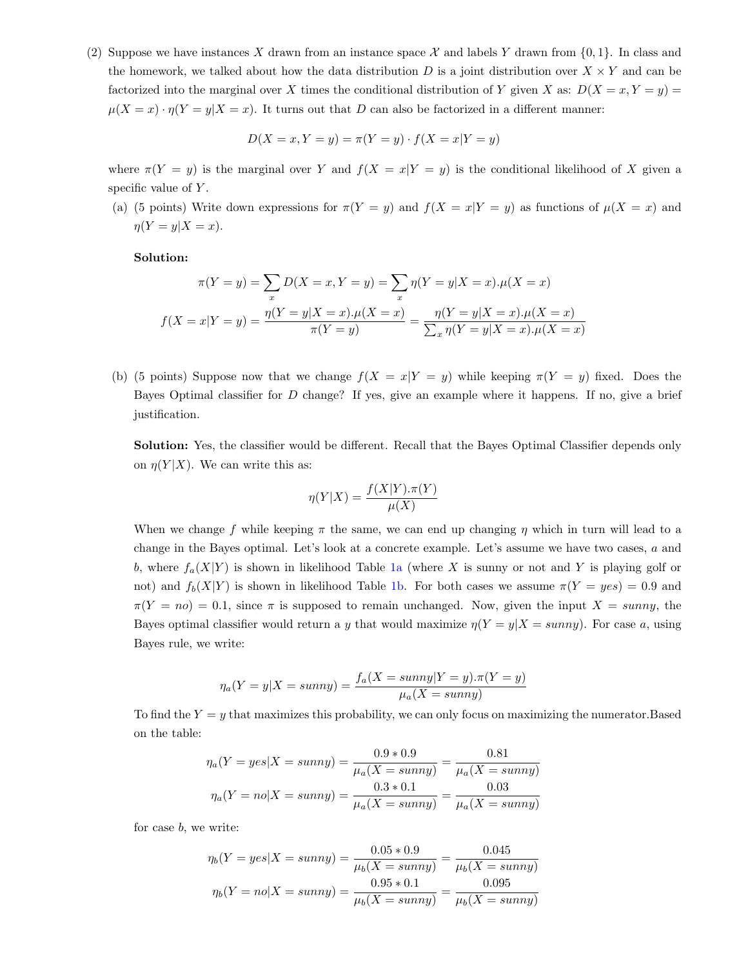(2) Suppose we have instances X drawn from an instance space X and labels Y drawn from  $\{0, 1\}$ . In class and the homework, we talked about how the data distribution  $D$  is a joint distribution over  $X \times Y$  and can be factorized into the marginal over X times the conditional distribution of Y given X as:  $D(X = x, Y = y)$  $\mu(X = x) \cdot \eta(Y = y | X = x)$ . It turns out that D can also be factorized in a different manner:

$$
D(X = x, Y = y) = \pi(Y = y) \cdot f(X = x | Y = y)
$$

where  $\pi(Y = y)$  is the marginal over Y and  $f(X = x|Y = y)$  is the conditional likelihood of X given a specific value of  $Y$ .

(a) (5 points) Write down expressions for  $\pi(Y = y)$  and  $f(X = x|Y = y)$  as functions of  $\mu(X = x)$  and  $\eta(Y=y|X=x).$ 

Solution:

$$
\pi(Y = y) = \sum_{x} D(X = x, Y = y) = \sum_{x} \eta(Y = y | X = x). \mu(X = x)
$$

$$
f(X = x | Y = y) = \frac{\eta(Y = y | X = x). \mu(X = x)}{\pi(Y = y)} = \frac{\eta(Y = y | X = x). \mu(X = x)}{\sum_{x} \eta(Y = y | X = x). \mu(X = x)}
$$

(b) (5 points) Suppose now that we change  $f(X = x|Y = y)$  while keeping  $\pi(Y = y)$  fixed. Does the Bayes Optimal classifier for D change? If yes, give an example where it happens. If no, give a brief justification.

Solution: Yes, the classifier would be different. Recall that the Bayes Optimal Classifier depends only on  $\eta(Y|X)$ . We can write this as:

$$
\eta(Y|X) = \frac{f(X|Y) \cdot \pi(Y)}{\mu(X)}
$$

When we change f while keeping  $\pi$  the same, we can end up changing  $\eta$  which in turn will lead to a change in the Bayes optimal. Let's look at a concrete example. Let's assume we have two cases, a and b, where  $f_a(X|Y)$  is shown in likelihood Table [1a](#page-2-0) (where X is sunny or not and Y is playing golf or not) and  $f_b(X|Y)$  is shown in likelihood Table [1b.](#page-2-0) For both cases we assume  $\pi(Y = yes) = 0.9$  and  $\pi(Y = no) = 0.1$ , since  $\pi$  is supposed to remain unchanged. Now, given the input  $X = sunny$ , the Bayes optimal classifier would return a y that would maximize  $\eta(Y = y | X = sunny)$ . For case a, using Bayes rule, we write:

$$
\eta_a(Y = y | X = sunny) = \frac{f_a(X = sunny | Y = y) . \pi(Y = y)}{\mu_a(X = sunny)}
$$

To find the  $Y = y$  that maximizes this probability, we can only focus on maximizing the numerator. Based on the table:

$$
\eta_a(Y = yes | X = sunny) = \frac{0.9 * 0.9}{\mu_a(X = sunny)} = \frac{0.81}{\mu_a(X = sunny)}
$$

$$
\eta_a(Y = no | X = sunny) = \frac{0.3 * 0.1}{\mu_a(X = sunny)} = \frac{0.03}{\mu_a(X = sunny)}
$$

for case b, we write:

$$
\eta_b(Y = yes | X = sunny) = \frac{0.05 * 0.9}{\mu_b(X = sunny)} = \frac{0.045}{\mu_b(X = sunny)}
$$

$$
\eta_b(Y = no | X = sunny) = \frac{0.95 * 0.1}{\mu_b(X = sunny)} = \frac{0.095}{\mu_b(X = sunny)}
$$